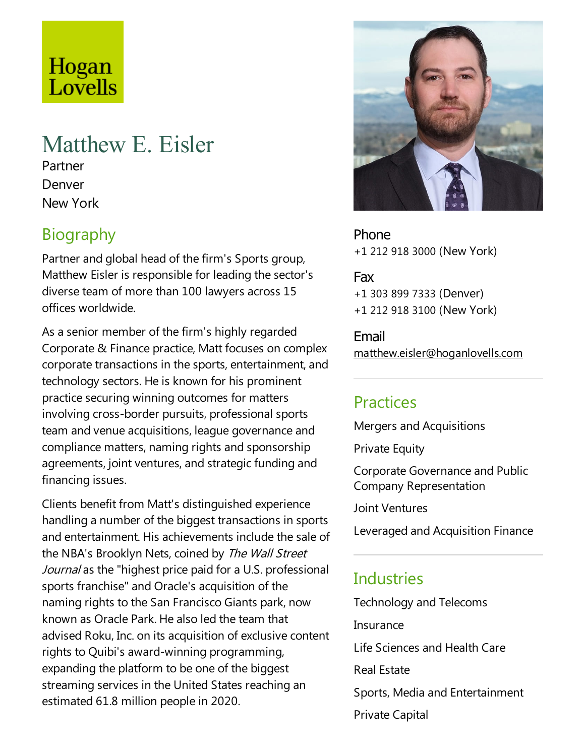# Hogan Lovells

## Matthew E. Eisler

Partner Denver New York

## **Biography**

Partner and global head of the firm's Sports group, Matthew Eisler is responsible for leading the sector's diverse team of more than 100 lawyers across 15 offices worldwide.

As a senior member of the firm's highly regarded Corporate & Finance practice, Matt focuses on complex corporate transactions in the sports, entertainment, and technology sectors. He is known for his prominent practice securing winning outcomes for matters involving cross-border pursuits, professional sports team and venue acquisitions, league governance and compliance matters, naming rights and sponsorship agreements, joint ventures, and strategic funding and financing issues.

Clients benefit from Matt's distinguished experience handling a number of the biggest transactions in sports and entertainment. His achievements include the sale of the NBA's Brooklyn Nets, coined by The Wall Street Journal as the "highest price paid for a U.S. professional sports franchise" and Oracle's acquisition of the naming rights to the San Francisco Giants park, now known as Oracle Park. He also led the team that advised Roku, Inc. on its acquisition of exclusive content rights to Quibi's award-winning programming, expanding the platform to be one of the biggest streaming services in the United States reaching an estimated 61.8 million people in 2020.



Phone +1 212 918 3000 (New York)

Fax +1 303 899 7333 (Denver) +1 212 918 3100 (New York)

Email matthew.eisler@hoganlovells.com

#### Practices

Mergers and Acquisitions

**Private Equity** 

Corporate Governance and Public Company Representation

Joint Ventures

Leveraged and Acquisition Finance

## **Industries**

Technology and Telecoms

Insurance

Life Sciences and Health Care

Real Estate

Sports, Media and Entertainment Private Capital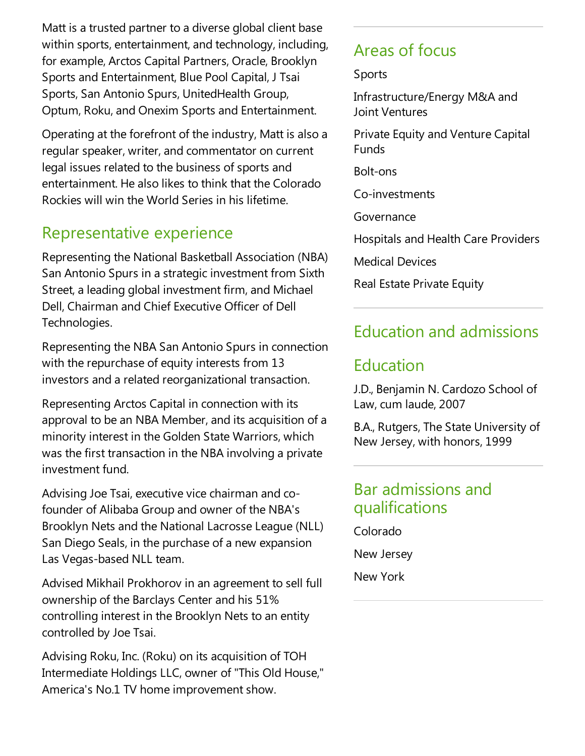Matt is a trusted partner to a diverse global client base within sports, entertainment, and technology, including, for example, Arctos Capital Partners, Oracle, Brooklyn Sports and Entertainment, Blue Pool Capital, J Tsai Sports, San Antonio Spurs, UnitedHealth Group, Optum, Roku, and Onexim Sports and Entertainment.

Operating at the forefront of the industry, Matt is also a regular speaker, writer, and commentator on current legal issues related to the business of sports and entertainment. He also likes to think that the Colorado Rockies will win the World Series in his lifetime.

#### Representative experience

Representing the National Basketball Association (NBA) San Antonio Spurs in a strategic investment from Sixth Street, a leading global investment firm, and Michael Dell, Chairman and Chief Executive Officer of Dell Technologies.

Representing the NBA San Antonio Spurs in connection with the repurchase of equity interests from 13 investors and a related reorganizational transaction.

Representing Arctos Capital in connection with its approval to be an NBA Member, and its acquisition of a minority interest in the Golden State Warriors, which was the first transaction in the NBA involving a private investment fund.

Advising Joe Tsai, executive vice chairman and cofounder of Alibaba Group and owner of the NBA's Brooklyn Nets and the National Lacrosse League (NLL) San Diego Seals, in the purchase of a new expansion Las Vegas-based NLL team.

Advised Mikhail Prokhorov in an agreement to sell full ownership of the Barclays Center and his 51% controlling interest in the Brooklyn Nets to an entity controlled by Joe Tsai.

Advising Roku, Inc. (Roku) on its acquisition of TOH Intermediate Holdings LLC, owner of "This Old House," America's No.1 TV home improvement show.

#### Areas of focus

Sports

Infrastructure/Energy M&A and Joint Ventures

Private Equity and Venture Capital Funds

Bolt-ons

Co-investments

Governance

Hospitals and Health Care Providers

Medical Devices

Real Estate Private Equity

#### Education and admissions

#### Education

J.D., Benjamin N. Cardozo School of Law, cum laude, 2007

B.A., Rutgers, The State University of New Jersey, with honors, 1999

#### Bar admissions and qualifications

Colorado New Jersey

New York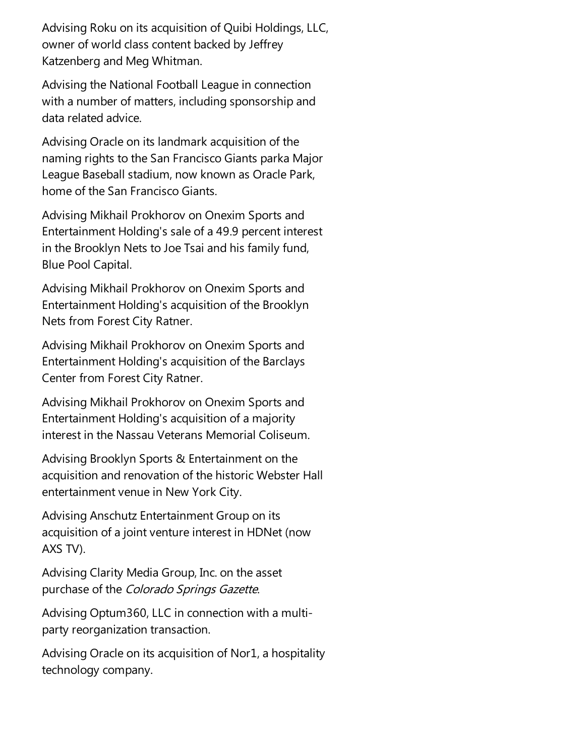Advising Roku on its acquisition of Quibi Holdings, LLC, owner of world class content backed by Jeffrey Katzenberg and Meg Whitman.

Advising the National Football League in connection with a number of matters, including sponsorship and data related advice.

Advising Oracle on its landmark acquisition of the naming rights to the San Francisco Giants parka Major League Baseball stadium, now known as Oracle Park, home of the San Francisco Giants.

Advising Mikhail Prokhorov on Onexim Sports and Entertainment Holding's sale of a 49.9 percent interest in the Brooklyn Nets to Joe Tsai and his family fund, Blue Pool Capital.

Advising Mikhail Prokhorov on Onexim Sports and Entertainment Holding's acquisition of the Brooklyn Nets from Forest City Ratner.

Advising Mikhail Prokhorov on Onexim Sports and Entertainment Holding's acquisition of the Barclays Center from Forest City Ratner.

Advising Mikhail Prokhorov on Onexim Sports and Entertainment Holding's acquisition of a majority interest in the Nassau Veterans Memorial Coliseum.

Advising Brooklyn Sports & Entertainment on the acquisition and renovation of the historic Webster Hall entertainment venue in New York City.

Advising Anschutz Entertainment Group on its acquisition of a joint venture interest in HDNet (now AXS TV).

Advising Clarity Media Group, Inc. on the asset purchase of the Colorado Springs Gazette.

Advising Optum360, LLC in connection with a multiparty reorganization transaction.

Advising Oracle on its acquisition of Nor1, a hospitality technology company.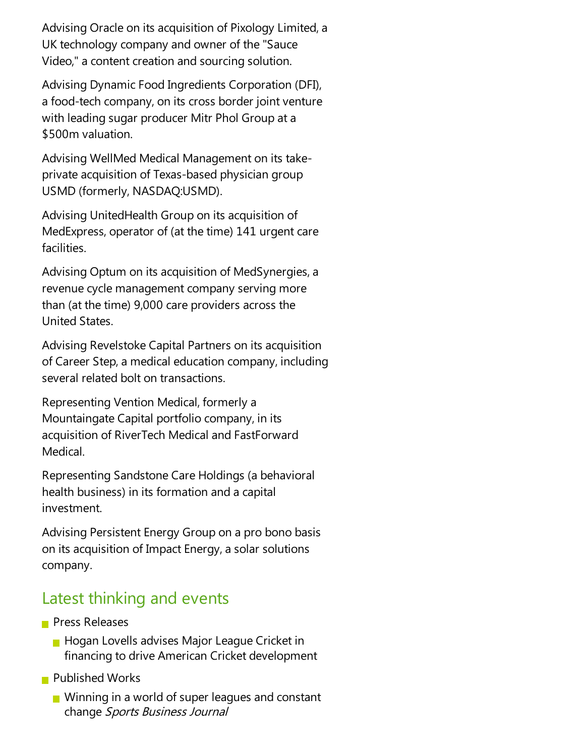Advising Oracle on its acquisition of Pixology Limited, a UK technology company and owner of the"Sauce Video," a content creation and sourcing solution.

Advising Dynamic Food Ingredients Corporation (DFI), a food-tech company, on its cross border joint venture with leading sugar producer Mitr Phol Group at a \$500m valuation.

Advising WellMed Medical Management on its takeprivate acquisition of Texas-based physician group USMD (formerly, NASDAQ:USMD).

Advising UnitedHealth Group on its acquisition of MedExpress, operator of (at the time) 141 urgent care facilities.

Advising Optum on its acquisition of MedSynergies, a revenue cycle management company serving more than (at the time) 9,000 care providers across the United States.

Advising Revelstoke Capital Partners on its acquisition of Career Step, a medical education company, including several related bolt on transactions.

Representing Vention Medical, formerly a Mountaingate Capital portfolio company, in its acquisition of RiverTech Medical and FastForward Medical.

Representing Sandstone Care Holdings (a behavioral health business) in its formation and a capital investment.

Advising Persistent Energy Group on a pro bono basis on its acquisition of Impact Energy, a solar solutions company.

### Latest thinking and events

- **Press Releases** 
	- **Hogan Lovells advises Major League Cricket in** financing to drive American Cricket development
- **Published Works** 
	- $\blacksquare$  Winning in a world of super leagues and constant change Sports Business Journal